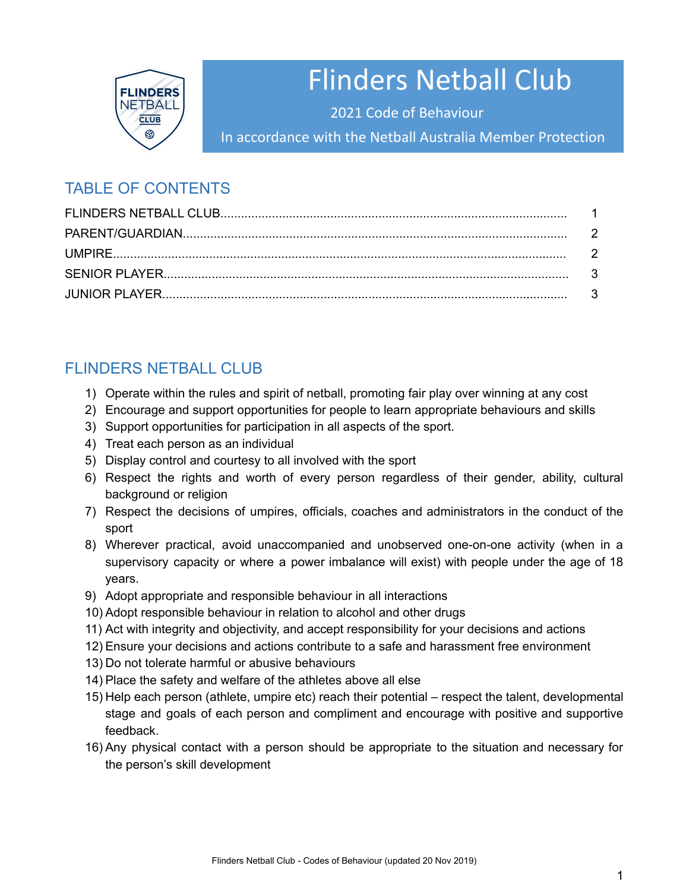

# Flinders Netball Club

2021 Code of Behaviour

In accordance with the Netball Australia Member Protection

## TABLE OF CONTENTS

## FLINDERS NETBALL CLUB

- 1) Operate within the rules and spirit of netball, promoting fair play over winning at any cost
- 2) Encourage and support opportunities for people to learn appropriate behaviours and skills
- 3) Support opportunities for participation in all aspects of the sport.
- 4) Treat each person as an individual
- 5) Display control and courtesy to all involved with the sport
- 6) Respect the rights and worth of every person regardless of their gender, ability, cultural background or religion
- 7) Respect the decisions of umpires, officials, coaches and administrators in the conduct of the sport
- 8) Wherever practical, avoid unaccompanied and unobserved one-on-one activity (when in a supervisory capacity or where a power imbalance will exist) with people under the age of 18 years.
- 9) Adopt appropriate and responsible behaviour in all interactions
- 10) Adopt responsible behaviour in relation to alcohol and other drugs
- 11) Act with integrity and objectivity, and accept responsibility for your decisions and actions
- 12) Ensure your decisions and actions contribute to a safe and harassment free environment
- 13) Do not tolerate harmful or abusive behaviours
- 14) Place the safety and welfare of the athletes above all else
- 15) Help each person (athlete, umpire etc) reach their potential respect the talent, developmental stage and goals of each person and compliment and encourage with positive and supportive feedback.
- 16) Any physical contact with a person should be appropriate to the situation and necessary for the person's skill development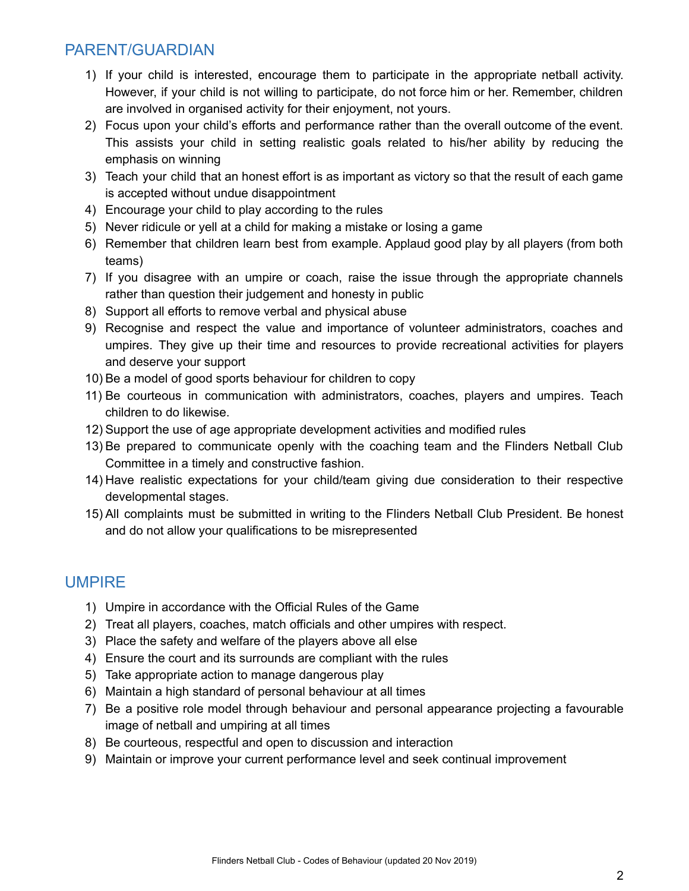#### PARENT/GUARDIAN

- 1) If your child is interested, encourage them to participate in the appropriate netball activity. However, if your child is not willing to participate, do not force him or her. Remember, children are involved in organised activity for their enjoyment, not yours.
- 2) Focus upon your child's efforts and performance rather than the overall outcome of the event. This assists your child in setting realistic goals related to his/her ability by reducing the emphasis on winning
- 3) Teach your child that an honest effort is as important as victory so that the result of each game is accepted without undue disappointment
- 4) Encourage your child to play according to the rules
- 5) Never ridicule or yell at a child for making a mistake or losing a game
- 6) Remember that children learn best from example. Applaud good play by all players (from both teams)
- 7) If you disagree with an umpire or coach, raise the issue through the appropriate channels rather than question their judgement and honesty in public
- 8) Support all efforts to remove verbal and physical abuse
- 9) Recognise and respect the value and importance of volunteer administrators, coaches and umpires. They give up their time and resources to provide recreational activities for players and deserve your support
- 10) Be a model of good sports behaviour for children to copy
- 11) Be courteous in communication with administrators, coaches, players and umpires. Teach children to do likewise.
- 12) Support the use of age appropriate development activities and modified rules
- 13) Be prepared to communicate openly with the coaching team and the Flinders Netball Club Committee in a timely and constructive fashion.
- 14) Have realistic expectations for your child/team giving due consideration to their respective developmental stages.
- 15) All complaints must be submitted in writing to the Flinders Netball Club President. Be honest and do not allow your qualifications to be misrepresented

#### UMPIRE

- 1) Umpire in accordance with the Official Rules of the Game
- 2) Treat all players, coaches, match officials and other umpires with respect.
- 3) Place the safety and welfare of the players above all else
- 4) Ensure the court and its surrounds are compliant with the rules
- 5) Take appropriate action to manage dangerous play
- 6) Maintain a high standard of personal behaviour at all times
- 7) Be a positive role model through behaviour and personal appearance projecting a favourable image of netball and umpiring at all times
- 8) Be courteous, respectful and open to discussion and interaction
- 9) Maintain or improve your current performance level and seek continual improvement